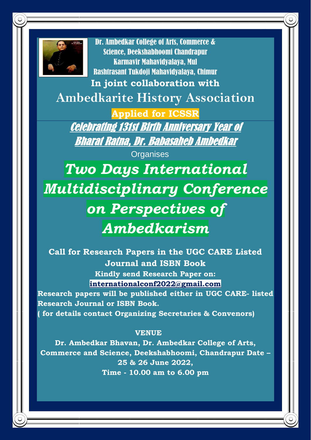

Dr. Ambedkar College of Arts, Commerce & Science, Deekshabhoomi Chandrapur Karmavir Mahavidyalaya, Mul Rashtrasant Tukdoji Mahavidyalaya, Chimur

**In joint collaboration with**

**Ambedkarite History Association** 

**Applied for ICSSR** Celebrating 131st Birth Anniversary Year of Bharat Ratna, Dr. Babasaheb Ambedkar

**Organises** 

*Two Days International Multidisciplinary Conference on Perspectives of Ambedkarism*

**Call for Research Papers in the UGC CARE Listed Journal and ISBN Book Kindly send Research Paper on: [internationalconf2022@gmail.com](mailto:internationalconf2022@gmail.com)**

**Research papers will be published either in UGC CARE- listed Research Journal or ISBN Book. ( for details contact Organizing Secretaries & Convenors)**

## **VENUE**

**Dr. Ambedkar Bhavan, Dr. Ambedkar College of Arts, Commerce and Science, Deekshabhoomi, Chandrapur Date – 25 & 26 June 2022, Time - 10.00 am to 6.00 pm**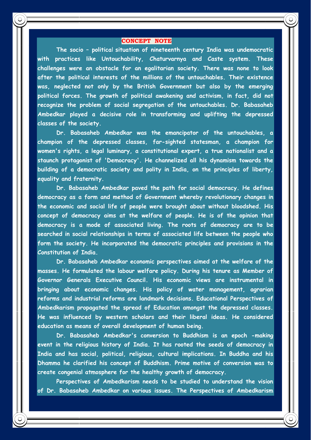#### **CONCEPT NOTE**

**The socio – politica**l **situation of nineteenth century India was undemocratic with practices like Untouchability, Chaturvarnya and Caste system. These challenges were an obstacle for an egalitarian society. There was none to look after the political interests of the millions of the untouchables. Their existence was, neglected not only by the British Government but also by the emerging political forces. The growth of political awakening and activism, in fact, did not recognize the problem of social segregation of the untouchables. Dr. Babasaheb Ambedkar played a decisive role in transforming and uplifting the depressed classes of the society.**

**Dr. Babasaheb Ambedkar was the emancipator of the untouchables, a champion of the depressed classes, far-sighted statesman, a champion for women's rights, a legal luminary, a constitutional expert, a true nationalist and a staunch protagonist of 'Democracy'. He channelized all his dynamism towards the building of a democratic society and polity in India, on the principles of liberty, equality and fraternity.**

**Dr. Babasaheb Ambedkar paved the path for social democracy. He defines democracy as a form and method of Government whereby revolutionary changes in the economic and social life of people were brought about without bloodshed. His concept of democracy aims at the welfare of people. He is of the opinion that democracy is a mode of associated living. The roots of democracy are to be searched in social relationships in terms of associated life between the people who form the society. He incorporated the democratic principles and provisions in the Constitution of India.**

**Dr. Babasaheb Ambedkar economic perspectives aimed at the welfare of the masses. He formulated the labour welfare policy. During his tenure as Member of Governor Generals Executive Council. His economic views are instrumental in bringing about economic changes. His policy of water management, agrarian reforms and industrial reforms are landmark decisions. Educational Perspectives of Ambedkarism propagated the spread of Education amongst the depressed classes. He was influenced by western scholars and their liberal ideas. He considered education as means of overall development of human being.**

**Dr. Babasaheb Ambedkar's conversion to Buddhism is an epoch -making event in the religious history of India. It has rooted the seeds of democracy in India and has social, political, religious, cultural implications. In Buddha and his Dhamma he clarified his concept of Buddhism. Prime motive of conversion was to create congenial atmosphere for the healthy growth of democracy.**

**Perspectives of Ambedkarism needs to be studied to understand the vision of Dr. Babasaheb Ambedkar on various issues. The Perspectives of Ambedkarism**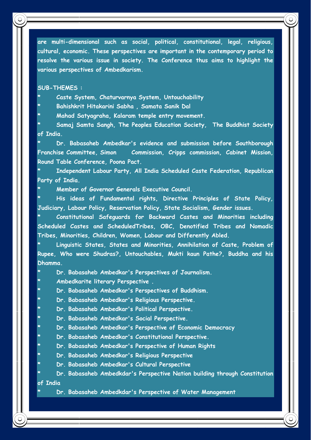**are multi-dimensional such as social, political, constitutional, legal, religious, cultural, economic. These perspectives are important in the contemporary period to resolve the various issue in society. The Conference thus aims to highlight the various perspectives of Ambedkarism.**

#### **SUB-THEMES :**

- **\* Caste System, Chaturvarnya System, Untouchability**
- **\* Bahishkrit Hitakarini Sabha , Samata Sanik Dal**

**\* Mahad Satyagraha, Kalaram temple entry movement.**

**\* Samaj Samta Sangh, The Peoples Education Society, The Buddhist Society of India.**

**\* Dr. Babasaheb Ambedkar's evidence and submission before Southborough Franchise Committee, Simon Commission, Cripps commission, Cabinet Mission, Round Table Conference, Poona Pact.**

**\* Independent Labour Party, All India Scheduled Caste Federation, Republican Party of India.**

**\* Member of Governor Generals Executive Council.**

**\* His ideas of Fundamental rights, Directive Principles of State Policy, Judiciary, Labour Policy, Reservation Policy, State Socialism, Gender issues.**

**\* Constitutional Safeguards for Backward Castes and Minorities including Scheduled Castes and ScheduledTribes, OBC, Denotified Tribes and Nomadic Tribes, Minorities, Children, Women, Labour and Differently Abled.** 

**\* Linguistic States, States and Minorities, Annihilation of Caste, Problem of Rupee, Who were Shudras?, Untouchables, Mukti kaun Pathe?, Buddha and his Dhamma.**

**\* Dr. Babasaheb Ambedkar's Perspectives of Journalism.**

**\* Ambedkarite literary Perspective .**

**\* Dr. Babasaheb Ambedkar's Perspectives of Buddhism.**

- **\* Dr. Babasaheb Ambedkar's Religious Perspective.**
- **\* Dr. Babasaheb Ambedkar's Political Perspective.**
- **\* Dr. Babasaheb Ambedkar's Social Perspective.**
- **\* Dr. Babasaheb Ambedkar's Perspective of Economic Democracy**
- **\* Dr. Babasaheb Ambedkar's Constitutional Perspective.**
- **\* Dr. Babasaheb Ambedkar's Perspective of Human Rights**
- **\* Dr. Babasaheb Ambedkar's Religious Perspective**
- **\* Dr. Babasaheb Ambedkar's Cultural Perspective**

**\* Dr. Babasaheb Ambedkdar's Perspective Nation building through Constitution of India**

**\* Dr. Babasaheb Ambedkdar's Perspective of Water Management**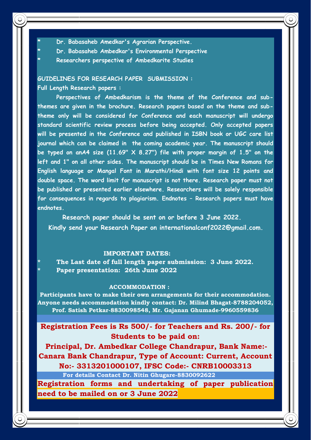- **\* Dr. Babasaheb Amedkar's Agrarian Perspective.**
- **\* Dr. Babasaheb Ambedkar's Environmental Perspective**
- **\* Researchers perspective of Ambedkarite Studies**

## **GUIDELINES FOR RESEARCH PAPER SUBMISSION : Full Length Research papers :**

**Perspectives of Ambedkarism is the theme of the Conference and subthemes are given in the brochure. Research papers based on the theme and subtheme only will be considered for Conference and each manuscript will undergo standard scientific review process before being accepted. Only accepted papers will be presented in the Conference and published in ISBN book or UGC care list journal which can be claimed in the coming academic year. The manuscript should be typed on anA4 size (11.69" X 8.27") file with proper margin of 1.5" on the left and 1" on all other sides. The manuscript should be in Times New Romans for English language or Mangal Font in Marathi/Hindi with font size 12 points and double space. The word limit for manuscript is not there. Research paper must not be published or presented earlier elsewhere. Researchers will be solely responsible for consequences in regards to plagiarism. Endnotes – Research papers must have endnotes.** 

 **Research paper should be sent on or before 3 June 2022. Kindly send your Research Paper on internationalconf2022@gmail.com.**

#### **IMPORTANT DATES:**

- **\* The Last date of full length paper submission: 3 June 2022.**
- **\* Paper presentation: 26th June 2022**

#### **ACCOMMODATION :**

**Participants have to make their own arrangements for their accommodation. Anyone needs accommodation kindly contact: Dr. Milind Bhagat-8788204052, Prof. Satish Petkar-8830098548, Mr. Gajanan Ghumade-9960559836**

## **Registration Fees is Rs 500/- for Teachers and Rs. 200/- for Students to be paid on:**

**Principal, Dr. Ambedkar College Chandrapur, Bank Name:- Canara Bank Chandrapur, Type of Account: Current, Account No:- 3313201000107, IFSC Code:- CNRB10003313 For details Contact Dr. Nitin Ghugare-8830092622** 

**Registration forms and undertaking of paper publication need to be mailed on or 3 June 2022**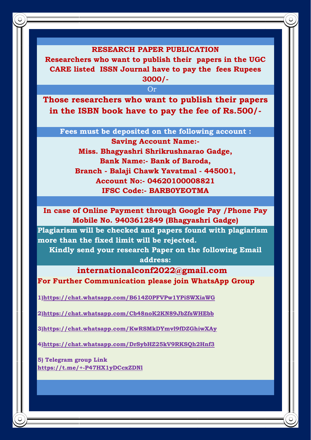### **RESEARCH PAPER PUBLICATION**

**Researchers who want to publish their papers in the UGC CARE listed ISSN Journal have to pay the fees Rupees 3000/-**

**Or Or Or** 

**Those researchers who want to publish their papers in the ISBN book have to pay the fee of Rs.500/-**

 **Fees must be deposited on the following account :**

**Saving Account Name:- Miss. Bhagyashri Shrikrushnarao Gadge, Bank Name:- Bank of Baroda, Branch - Balaji Chawk Yavatmal - 445001, Account No:- 04620100008821 IFSC Code:- BARB0YEOTMA**

**In case of Online Payment through Google Pay /Phone Pay Mobile No. 9403612849 (Bhagyashri Gadge)**

**Plagiarism will be checked and papers found with plagiarism more than the fixed limit will be rejected.** 

**Kindly send your research Paper on the following Email** 

**address:**

 **internationalconf2022@gmail.com For Further Communication please join WhatsApp Group** 

**1[\)https://chat.whatsapp.com/B614Z0PFVPw1YPiSWXiaWG](https://chat.whatsapp.com/B614Z0PFVPw1YPiSWXiaWG)**

**2[\)https://chat.whatsapp.com/Cb48noK2KN89JbZfsWHEbb](https://chat.whatsapp.com/Cb48noK2KN89JbZfsWHEbb)**

**3[\)https://chat.whatsapp.com/KwRSMkDYmvl9fDZGhiwXAy](https://chat.whatsapp.com/KwRSMkDYmvl9fDZGhiwXAy)**

**4[\)https://chat.whatsapp.com/DrSybHZ25kV9RKSQh2Hnf3](https://chat.whatsapp.com/DrSybHZ25kV9RKSQh2Hnf3)**

**5) Telegram group Link <https://t.me/+-P47HX1yDCcxZDNl>**